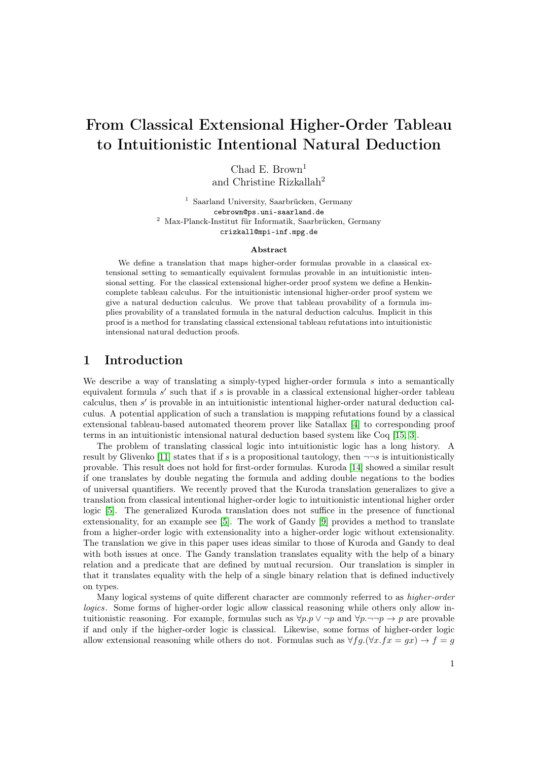# From Classical Extensional Higher-Order Tableau to Intuitionistic Intentional Natural Deduction

Chad E. Brown<sup>1</sup> and Christine Rizkallah<sup>2</sup>

<sup>1</sup> Saarland University, Saarbrücken, Germany cebrown@ps.uni-saarland.de  $^{\rm 2}$ Max-Planck-Institut für Informatik, Saarbrücken, Germany crizkall@mpi-inf.mpg.de

#### Abstract

We define a translation that maps higher-order formulas provable in a classical extensional setting to semantically equivalent formulas provable in an intuitionistic intensional setting. For the classical extensional higher-order proof system we define a Henkincomplete tableau calculus. For the intuitionistic intensional higher-order proof system we give a natural deduction calculus. We prove that tableau provability of a formula implies provability of a translated formula in the natural deduction calculus. Implicit in this proof is a method for translating classical extensional tableau refutations into intuitionistic intensional natural deduction proofs.

## 1 Introduction

We describe a way of translating a simply-typed higher-order formula s into a semantically equivalent formula  $s'$  such that if  $s$  is provable in a classical extensional higher-order tableau calculus, then  $s'$  is provable in an intuitionistic intentional higher-order natural deduction calculus. A potential application of such a translation is mapping refutations found by a classical extensional tableau-based automated theorem prover like Satallax [\[4\]](#page-15-0) to corresponding proof terms in an intuitionistic intensional natural deduction based system like Coq [\[15,](#page-15-1) [3\]](#page-15-2).

The problem of translating classical logic into intuitionistic logic has a long history. A result by Glivenko [\[11\]](#page-15-3) states that if s is a propositional tautology, then  $\neg\neg s$  is intuitionistically provable. This result does not hold for first-order formulas. Kuroda [\[14\]](#page-15-4) showed a similar result if one translates by double negating the formula and adding double negations to the bodies of universal quantifiers. We recently proved that the Kuroda translation generalizes to give a translation from classical intentional higher-order logic to intuitionistic intentional higher order logic [\[5\]](#page-15-5). The generalized Kuroda translation does not suffice in the presence of functional extensionality, for an example see [\[5\]](#page-15-5). The work of Gandy [\[9\]](#page-15-6) provides a method to translate from a higher-order logic with extensionality into a higher-order logic without extensionality. The translation we give in this paper uses ideas similar to those of Kuroda and Gandy to deal with both issues at once. The Gandy translation translates equality with the help of a binary relation and a predicate that are defined by mutual recursion. Our translation is simpler in that it translates equality with the help of a single binary relation that is defined inductively on types.

Many logical systems of quite different character are commonly referred to as higher-order logics. Some forms of higher-order logic allow classical reasoning while others only allow intuitionistic reasoning. For example, formulas such as  $\forall p \cdot p \lor \neg p$  and  $\forall p \cdot \neg \neg p \rightarrow p$  are provable if and only if the higher-order logic is classical. Likewise, some forms of higher-order logic allow extensional reasoning while others do not. Formulas such as  $\forall f q. (\forall x. f x = qx) \rightarrow f = q$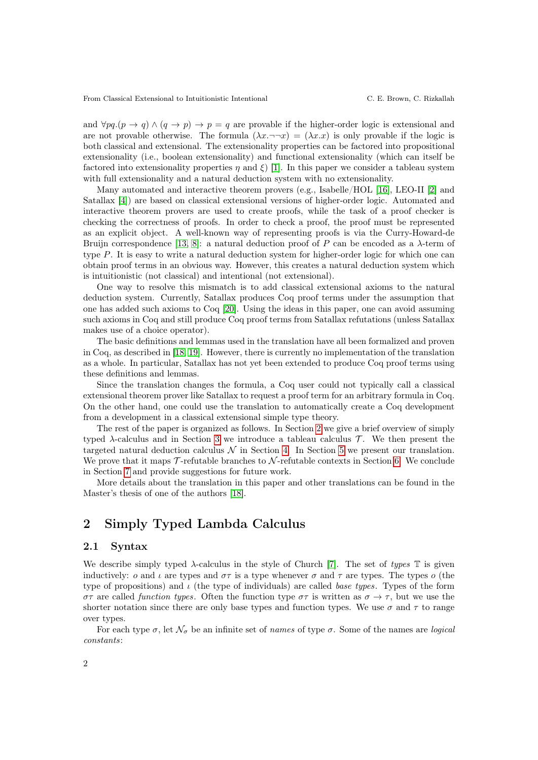and  $\forall pq.(p \rightarrow q) \land (q \rightarrow p) \rightarrow p = q$  are provable if the higher-order logic is extensional and are not provable otherwise. The formula  $(\lambda x.\neg\neg x) = (\lambda x.x)$  is only provable if the logic is both classical and extensional. The extensionality properties can be factored into propositional extensionality (i.e., boolean extensionality) and functional extensionality (which can itself be factored into extensionality properties  $\eta$  and  $\xi$ ) [\[1\]](#page-15-7). In this paper we consider a tableau system with full extensionality and a natural deduction system with no extensionality.

Many automated and interactive theorem provers (e.g., Isabelle/HOL [\[16\]](#page-15-8), LEO-II [\[2\]](#page-15-9) and Satallax [\[4\]](#page-15-0)) are based on classical extensional versions of higher-order logic. Automated and interactive theorem provers are used to create proofs, while the task of a proof checker is checking the correctness of proofs. In order to check a proof, the proof must be represented as an explicit object. A well-known way of representing proofs is via the Curry-Howard-de Bruijn correspondence [\[13,](#page-15-10) [8\]](#page-15-11): a natural deduction proof of P can be encoded as a  $\lambda$ -term of type P. It is easy to write a natural deduction system for higher-order logic for which one can obtain proof terms in an obvious way. However, this creates a natural deduction system which is intuitionistic (not classical) and intentional (not extensional).

One way to resolve this mismatch is to add classical extensional axioms to the natural deduction system. Currently, Satallax produces Coq proof terms under the assumption that one has added such axioms to Coq [\[20\]](#page-15-12). Using the ideas in this paper, one can avoid assuming such axioms in Coq and still produce Coq proof terms from Satallax refutations (unless Satallax makes use of a choice operator).

The basic definitions and lemmas used in the translation have all been formalized and proven in Coq, as described in [\[18,](#page-15-13) [19\]](#page-15-14). However, there is currently no implementation of the translation as a whole. In particular, Satallax has not yet been extended to produce Coq proof terms using these definitions and lemmas.

Since the translation changes the formula, a Coq user could not typically call a classical extensional theorem prover like Satallax to request a proof term for an arbitrary formula in Coq. On the other hand, one could use the translation to automatically create a Coq development from a development in a classical extensional simple type theory.

The rest of the paper is organized as follows. In Section [2](#page-1-0) we give a brief overview of simply typed  $\lambda$ -calculus and in Section [3](#page-3-0) we introduce a tableau calculus  $\mathcal{T}$ . We then present the targeted natural deduction calculus  $\mathcal N$  in Section [4.](#page-5-0) In Section [5](#page-6-0) we present our translation. We prove that it maps  $\mathcal T$ -refutable branches to  $\mathcal N$ -refutable contexts in Section [6.](#page-10-0) We conclude in Section [7](#page-14-0) and provide suggestions for future work.

More details about the translation in this paper and other translations can be found in the Master's thesis of one of the authors [\[18\]](#page-15-13).

## <span id="page-1-0"></span>2 Simply Typed Lambda Calculus

### 2.1 Syntax

We describe simply typed  $\lambda$ -calculus in the style of Church [\[7\]](#page-15-15). The set of types  $\mathbb T$  is given inductively: o and  $\iota$  are types and  $\sigma\tau$  is a type whenever  $\sigma$  and  $\tau$  are types. The types o (the type of propositions) and  $\iota$  (the type of individuals) are called base types. Types of the form στ are called function types. Often the function type  $\sigma\tau$  is written as  $\sigma \to \tau$ , but we use the shorter notation since there are only base types and function types. We use  $\sigma$  and  $\tau$  to range over types.

For each type  $\sigma$ , let  $\mathcal{N}_{\sigma}$  be an infinite set of *names* of type  $\sigma$ . Some of the names are *logical* constants: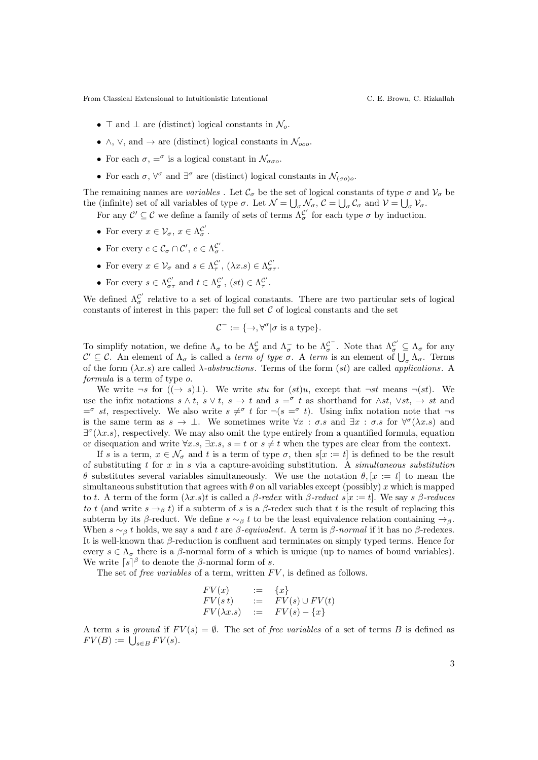- $\top$  and  $\bot$  are (distinct) logical constants in  $\mathcal{N}_o$ .
- $\land$ ,  $\lor$ , and  $\rightarrow$  are (distinct) logical constants in  $\mathcal{N}_{oo}$ .
- For each  $\sigma$ ,  $=^{\sigma}$  is a logical constant in  $\mathcal{N}_{\sigma\sigma o}$ .
- For each  $\sigma$ ,  $\forall^{\sigma}$  and  $\exists^{\sigma}$  are (distinct) logical constants in  $\mathcal{N}_{(\sigma o)}$ .

The remaining names are variables. Let  $\mathcal{C}_{\sigma}$  be the set of logical constants of type  $\sigma$  and  $\mathcal{V}_{\sigma}$  be the (infinite) set of all variables of type  $\sigma$ . Let  $\mathcal{N} = \bigcup_{\sigma} \mathcal{N}_{\sigma}$ ,  $\mathcal{C} = \bigcup_{\sigma} \mathcal{C}_{\sigma}$  and  $\mathcal{V} = \bigcup_{\sigma} \mathcal{V}_{\sigma}$ .

For any  $\mathcal{C}' \subseteq \mathcal{C}$  we define a family of sets of terms  $\Lambda_{\sigma}^{\mathcal{C}'}$  for each type  $\sigma$  by induction.

- For every  $x \in \mathcal{V}_\sigma$ ,  $x \in \Lambda^{\mathcal{C}'}_\sigma$ .
- For every  $c \in \mathcal{C}_{\sigma} \cap \mathcal{C}'$ ,  $c \in \Lambda_{\sigma}^{\mathcal{C}'}$ .
- For every  $x \in \mathcal{V}_{\sigma}$  and  $s \in \Lambda_{\tau}^{\mathcal{C}'}, (\lambda x.s) \in \Lambda_{\sigma\tau}^{\mathcal{C}'}.$
- For every  $s \in \Lambda_{\sigma\tau}^{\mathcal{C}'}$  and  $t \in \Lambda_{\sigma}^{\mathcal{C}'}, (st) \in \Lambda_{\tau}^{\mathcal{C}'}.$

We defined  $\Lambda_{\sigma}^{\mathcal{C}'}$  relative to a set of logical constants. There are two particular sets of logical constants of interest in this paper: the full set  $C$  of logical constants and the set

$$
\mathcal{C}^- := \{ \rightarrow, \forall^{\sigma} | \sigma \text{ is a type} \}.
$$

To simplify notation, we define  $\Lambda_{\sigma}$  to be  $\Lambda_{\sigma}^{\mathcal{C}}$  and  $\Lambda_{\sigma}^{-}$  to be  $\Lambda_{\sigma}^{\mathcal{C}^{-}}$ . Note that  $\Lambda_{\sigma}^{\mathcal{C}'} \subseteq \Lambda_{\sigma}$  for any  $\mathcal{C}' \subseteq \mathcal{C}$ . An element of  $\Lambda_{\sigma}$  is called a term of type  $\sigma$ . A term is an element of  $\bigcup_{\sigma} \Lambda_{\sigma}$ . Terms of the form  $(\lambda x.s)$  are called  $\lambda$ -abstractions. Terms of the form  $(st)$  are called applications. A formula is a term of type o.

We write  $\neg s$  for  $((\rightarrow s)\bot)$ . We write stu for  $(st)u$ , except that  $\neg st$  means  $\neg(st)$ . We use the infix notations  $s \wedge t$ ,  $s \vee t$ ,  $s \to t$  and  $s = \sigma t$  as shorthand for  $\wedge st$ ,  $\vee st$ ,  $\to st$  and  $=^{\sigma} st$ , respectively. We also write  $s \neq^{\sigma} t$  for  $\neg(s =^{\sigma} t)$ . Using infix notation note that  $\neg s$ is the same term as  $s \to \bot$ . We sometimes write  $\forall x : \sigma.s$  and  $\exists x : \sigma.s$  for  $\forall^{\sigma}(\lambda x.s)$  and  $\exists^{\sigma}(\lambda x.s)$ , respectively. We may also omit the type entirely from a quantified formula, equation or disequation and write  $\forall x. s, \exists x. s, s = t \text{ or } s \neq t$  when the types are clear from the context.

If s is a term,  $x \in \mathcal{N}_{\sigma}$  and t is a term of type  $\sigma$ , then  $s[x := t]$  is defined to be the result of substituting t for x in s via a capture-avoiding substitution. A simultaneous substitution θ substitutes several variables simultaneously. We use the notation θ, [x := t] to mean the simultaneous substitution that agrees with  $\theta$  on all variables except (possibly) x which is mapped to t. A term of the form  $(\lambda x.s)t$  is called a  $\beta$ -redex with  $\beta$ -reduct  $s[x := t]$ . We say s  $\beta$ -reduces to t (and write  $s \rightarrow_\beta t$ ) if a subterm of s is a  $\beta$ -redex such that t is the result of replacing this subterm by its β-reduct. We define  $s \sim_\beta t$  to be the least equivalence relation containing  $\rightarrow_\beta$ . When  $s \sim_\beta t$  holds, we say s and t are  $\beta$ -equivalent. A term is  $\beta$ -normal if it has no  $\beta$ -redexes. It is well-known that  $\beta$ -reduction is confluent and terminates on simply typed terms. Hence for every  $s \in \Lambda_{\sigma}$  there is a  $\beta$ -normal form of s which is unique (up to names of bound variables). We write  $\lceil s \rceil^{\beta}$  to denote the  $\beta$ -normal form of s.

The set of *free variables* of a term, written  $FV$ , is defined as follows.

$$
FV(x) := \{x\}
$$
  
\n
$$
FV(st) := FV(s) \cup FV(t)
$$
  
\n
$$
FV(\lambda x.s) := FV(s) - \{x\}
$$

A term s is ground if  $FV(s) = \emptyset$ . The set of free variables of a set of terms B is defined as  $FV(B) := \bigcup_{s \in B} FV(s).$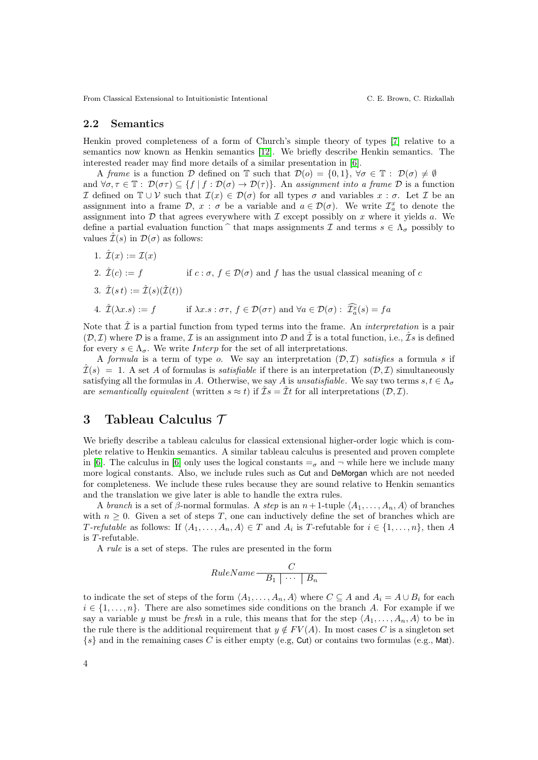### 2.2 Semantics

Henkin proved completeness of a form of Church's simple theory of types [\[7\]](#page-15-15) relative to a semantics now known as Henkin semantics [\[12\]](#page-15-16). We briefly describe Henkin semantics. The interested reader may find more details of a similar presentation in [\[6\]](#page-15-17).

A frame is a function D defined on T such that  $\mathcal{D}(o) = \{0,1\}$ ,  $\forall \sigma \in \mathbb{T}$ :  $\mathcal{D}(\sigma) \neq \emptyset$ and  $\forall \sigma, \tau \in \mathbb{T}$ :  $\mathcal{D}(\sigma\tau) \subseteq \{f \mid f : \mathcal{D}(\sigma) \to \mathcal{D}(\tau)\}\$ . An assignment into a frame  $\mathcal{D}$  is a function I defined on  $\mathbb{T} \cup \mathcal{V}$  such that  $\mathcal{I}(x) \in \mathcal{D}(\sigma)$  for all types  $\sigma$  and variables  $x : \sigma$ . Let I be an assignment into a frame  $\mathcal{D}, x : \sigma$  be a variable and  $a \in \mathcal{D}(\sigma)$ . We write  $\mathcal{I}_a^x$  to denote the assignment into  $D$  that agrees everywhere with  $\mathcal I$  except possibly on x where it yields a. We define a partial evaluation function  $\hat{ }$  that maps assignments  $\mathcal{I}$  and terms  $s \in \Lambda_{\sigma}$  possibly to

- 1.  $\hat{\mathcal{I}}(x) := \mathcal{I}(x)$
- 2.  $\hat{\mathcal{I}}(c) := f$  if  $c : \sigma, f \in \mathcal{D}(\sigma)$  and f has the usual classical meaning of c
- 3.  $\hat{\mathcal{I}}(s t) := \hat{\mathcal{I}}(s)(\hat{\mathcal{I}}(t))$

values  $\mathcal{I}(s)$  in  $\mathcal{D}(\sigma)$  as follows:

4.  $\hat{\mathcal{I}}(\lambda x.s) := f$  if  $\lambda x.s : \sigma \tau, f \in \mathcal{D}(\sigma \tau)$  and  $\forall a \in \mathcal{D}(\sigma) : \widehat{\mathcal{I}_a^x}(s) = fa$ 

Note that  $\hat{\mathcal{I}}$  is a partial function from typed terms into the frame. An *interpretation* is a pair  $(\mathcal{D}, \mathcal{I})$  where  $\mathcal D$  is a frame,  $\mathcal I$  is an assignment into  $\mathcal D$  and  $\hat{\mathcal{I}}$  is a total function, i.e.,  $\hat{\mathcal{I}}$ s is defined for every  $s \in \Lambda_{\sigma}$ . We write *Interp* for the set of all interpretations.

A formula is a term of type o. We say an interpretation  $(D, \mathcal{I})$  satisfies a formula s if  $\hat{\mathcal{I}}(s) = 1$ . A set A of formulas is *satisfiable* if there is an interpretation  $(\mathcal{D}, \mathcal{I})$  simultaneously satisfying all the formulas in A. Otherwise, we say A is unsatisfiable. We say two terms  $s, t \in \Lambda_{\sigma}$ are semantically equivalent (written  $s \approx t$ ) if  $\hat{I}s = \hat{I}t$  for all interpretations  $(D, \mathcal{I})$ .

## <span id="page-3-0"></span>3 Tableau Calculus T

We briefly describe a tableau calculus for classical extensional higher-order logic which is complete relative to Henkin semantics. A similar tableau calculus is presented and proven complete in [\[6\]](#page-15-17). The calculus in [6] only uses the logical constants  $=_{\sigma}$  and  $\neg$  while here we include many more logical constants. Also, we include rules such as Cut and DeMorgan which are not needed for completeness. We include these rules because they are sound relative to Henkin semantics and the translation we give later is able to handle the extra rules.

A branch is a set of  $\beta$ -normal formulas. A step is an  $n+1$ -tuple  $\langle A_1, \ldots, A_n, A \rangle$  of branches with  $n \geq 0$ . Given a set of steps T, one can inductively define the set of branches which are T-refutable as follows: If  $\langle A_1, \ldots, A_n, A \rangle \in T$  and  $A_i$  is T-refutable for  $i \in \{1, \ldots, n\}$ , then A is T-refutable.

A rule is a set of steps. The rules are presented in the form

$$
RuleName \xrightarrow{C} B_1 \mid \cdots \mid B_n
$$

to indicate the set of steps of the form  $\langle A_1, \ldots, A_n, A \rangle$  where  $C \subseteq A$  and  $A_i = A \cup B_i$  for each  $i \in \{1, \ldots, n\}$ . There are also sometimes side conditions on the branch A. For example if we say a variable y must be fresh in a rule, this means that for the step  $\langle A_1, \ldots, A_n, A \rangle$  to be in the rule there is the additional requirement that  $y \notin FV(A)$ . In most cases C is a singleton set  $\{s\}$  and in the remaining cases C is either empty (e.g, Cut) or contains two formulas (e.g., Mat).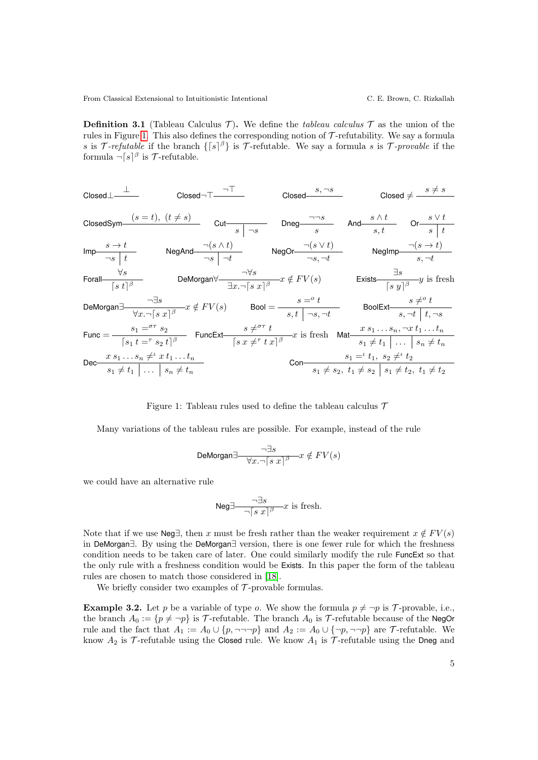<span id="page-4-1"></span>**Definition 3.1** (Tableau Calculus  $\mathcal{T}$ ). We define the *tableau calculus*  $\mathcal{T}$  as the union of the rules in Figure [1.](#page-4-0) This also defines the corresponding notion of  $\mathcal T$ -refutability. We say a formula s is T-refutable if the branch  $\{\lceil s\rceil^\beta\}$  is T-refutable. We say a formula s is T-provable if the formula  $\neg [s]^\beta$  is T-refutable.

| Closed    | 1                           | Closed | Closed | 1 |
|-----------|-----------------------------|--------|--------|---|
| Closed    | 1                           | Closed | 1      | 1 |
| Closed    | 1                           | 1      | 1      |   |
| ConcedSym | $(s = t)$ , $(t \neq s)$    | 1      | 1      |   |
| Long      | $\frac{1}{s}$               | 1      | 1      |   |
| Imp       | $\frac{s \rightarrow t}{s}$ | 1      | 1      |   |
| Imp       | $\frac{s \rightarrow t}{s}$ | 1      | 1      |   |
| Form      | $\frac{s \rightarrow t}{s}$ | 1      | 1      |   |
| Form      | $\frac{s \rightarrow t}{s}$ | 1      | 1      |   |
| Form      | $\frac{s \rightarrow t}{s}$ | 1      | 1      |   |
| Form      | $\frac{s \rightarrow s}{s}$ | 1      | 1      |   |
| Form      | $\frac{s \rightarrow s}{s}$ | 1      | 1      |   |
| Form      | $\frac{s \rightarrow s}{s}$ | 1      | 1      |   |
| Form      | $\frac{s \rightarrow s}{s}$ | 1      | 1      |   |
| Form      | $\frac{s \rightarrow s}{s}$ | 1      | 1      |   |
| Form      | $\frac{s}{s}$               | 1      | 1      |   |
| Form      | $\frac{s}{s}$               | 1      | 1      |   |
| Form </td |                             |        |        |   |

<span id="page-4-0"></span>Figure 1: Tableau rules used to define the tableau calculus  $\mathcal T$ 

Many variations of the tableau rules are possible. For example, instead of the rule

$$
\text{DeMorgan}\exists \frac{\neg \exists s}{\forall x. \neg \lceil s x \rceil^\beta} x \notin FV(s)
$$

we could have an alternative rule

Neg
$$
\frac{\neg \exists s}{\neg [s x]^{\beta}} x
$$
 is fresh.

Note that if we use Neg∃, then x must be fresh rather than the weaker requirement  $x \notin FV(s)$ in DeMorgan∃. By using the DeMorgan∃ version, there is one fewer rule for which the freshness condition needs to be taken care of later. One could similarly modify the rule FuncExt so that the only rule with a freshness condition would be Exists. In this paper the form of the tableau rules are chosen to match those considered in [\[18\]](#page-15-13).

We briefly consider two examples of  $\mathcal T$ -provable formulas.

**Example 3.2.** Let p be a variable of type o. We show the formula  $p \neq \neg p$  is T-provable, i.e., the branch  $A_0 := \{p \neq \neg p\}$  is T-refutable. The branch  $A_0$  is T-refutable because of the NegOr rule and the fact that  $A_1 := A_0 \cup \{p, \neg \neg \neg p\}$  and  $A_2 := A_0 \cup \{\neg p, \neg \neg p\}$  are T-refutable. We know  $A_2$  is T-refutable using the Closed rule. We know  $A_1$  is T-refutable using the Dneg and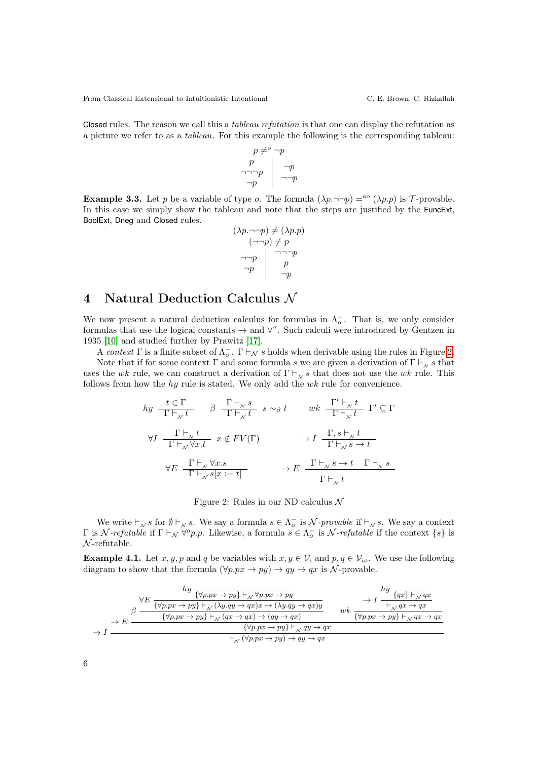Closed rules. The reason we call this a *tableau refutation* is that one can display the refutation as a picture we refer to as a tableau. For this example the following is the corresponding tableau:

$$
p \neq^o \neg p
$$
  
\n $p$   
\n $\neg \neg p$   
\n $\neg p$   
\n $\neg p$   
\n $\neg p$ 

<span id="page-5-2"></span>**Example 3.3.** Let p be a variable of type o. The formula  $(\lambda p \rightarrow \neg p) = o^{\circ}(\lambda p \cdot p)$  is T-provable. In this case we simply show the tableau and note that the steps are justified by the FuncExt. BoolExt, Dneg and Closed rules.

$$
(\lambda p.\neg\neg p) \neq (\lambda p.p)\n\left(\neg\neg p\right) \neq p\n\neg p\n\rho\n\rho\n\rho
$$

## <span id="page-5-0"></span>4 Natural Deduction Calculus N

We now present a natural deduction calculus for formulas in  $\Lambda_o^-$ . That is, we only consider formulas that use the logical constants  $\rightarrow$  and  $\forall^{\sigma}$ . Such calculi were introduced by Gentzen in 1935 [\[10\]](#page-15-18) and studied further by Prawitz [\[17\]](#page-15-19).

A context  $\Gamma$  is a finite subset of  $\Lambda_o^-$ .  $\Gamma \vdash_{\mathcal{N}} s$  holds when derivable using the rules in Figure [2.](#page-5-1)

Note that if for some context Γ and some formula s we are given a derivation of  $\Gamma \vdash_{\scriptscriptstyle N} s$  that uses the wk rule, we can construct a derivation of  $\Gamma \vdash_{N} s$  that does not use the wk rule. This follows from how the  $hy$  rule is stated. We only add the  $wk$  rule for convenience.

$$
\begin{array}{llll} & hy & \frac{t \in \Gamma}{\Gamma \vdash_{\mathcal{N}} t} \quad \beta \quad \frac{\Gamma \vdash_{\mathcal{N}} s}{\Gamma \vdash_{\mathcal{N}} t} \quad s \sim_{\beta} t \quad & wk \quad \frac{\Gamma' \vdash_{\mathcal{N}} t}{\Gamma \vdash_{\mathcal{N}} t} \quad \Gamma' \subseteq \Gamma \end{array}
$$
\n
$$
\begin{array}{llll} \forall I & \frac{\Gamma \vdash_{\mathcal{N}} t}{\Gamma \vdash_{\mathcal{N}} \forall x.t} \quad x \notin FV(\Gamma) \quad & \rightarrow I \quad \frac{\Gamma, s \vdash_{\mathcal{N}} t}{\Gamma \vdash_{\mathcal{N}} s \rightarrow t} \end{array}
$$
\n
$$
\begin{array}{llll} \forall E & \frac{\Gamma \vdash_{\mathcal{N}} \forall x.s}{\Gamma \vdash_{\mathcal{N}} s[x := t]} \quad & \rightarrow E \quad \frac{\Gamma \vdash_{\mathcal{N}} s \rightarrow t \quad \Gamma \vdash_{\mathcal{N}} s}{\Gamma \vdash_{\mathcal{N}} t} \end{array}
$$

<span id="page-5-1"></span>Figure 2: Rules in our ND calculus  $\mathcal N$ 

We write  $\vdash_{\mathcal{N}} s$  for  $\emptyset \vdash_{\mathcal{N}} s$ . We say a formula  $s \in \Lambda_o^-$  is  $\mathcal{N}\text{-}provable$  if  $\vdash_{\mathcal{N}} s$ . We say a context  $Γ$  is N-refutable if  $Γ ⊢_γ$   $\forall^{\circ} p.p.$  Likewise, a formula  $s ∈ Λ_0^-$  is N-refutable if the context  $\{s\}$  is  $\mathcal{N}$ -refutable.

**Example 4.1.** Let x, y, p and q be variables with  $x, y \in V_i$  and  $p, q \in V_{io}$ . We use the following diagram to show that the formula  $(\forall p.px \rightarrow py) \rightarrow qy \rightarrow qx$  is N-provable.

$$
\frac{hy}{\{\forall p. px \to py\} \vdash_{\mathcal{N}} \forall p. px \to py} \xrightarrow{hy}{\frac{\forall p. px \to py\} \vdash_{\mathcal{N}} (\lambda y. qy \to qx)x \to (\lambda y. qy \to qx)y}{\{\forall p. px \to py\} \vdash_{\mathcal{N}} (qx \to qx) \to (qy \to qx)} \qquad \frac{hy}{\{\forall p. px \to py\} \vdash_{\mathcal{N}} qx \to qx}} \xrightarrow{y} \frac{hy}{\{\forall p. px \to py\} \vdash_{\mathcal{N}} (qx \to qx)} \xrightarrow{y} \frac{hy}{\{\forall p. px \to py\} \vdash_{\mathcal{N}} (qx \to qx)} \xrightarrow{y} \frac{hy}{\{\forall p. px \to py\} \vdash_{\mathcal{N}} (qy \to qx)} \frac{hy}{\{\forall p. px \to py\} \vdash_{\mathcal{N}} (qy \to qx)} \frac{hy}{\{\forall p. px \to py\} \vdash_{\mathcal{N}} (qy \to qx)} \frac{hy}{\{\forall p. px \to py\} \vdash_{\mathcal{N}} (qy \to qx)} \frac{hy}{\{\forall p. px \to py\} \vdash_{\mathcal{N}} (qy \to qx)} \frac{hy}{\{\forall p. px \to py\} \vdash_{\mathcal{N}} (qy \to qx)} \frac{hy}{\{\forall p. px \to py\} \vdash_{\mathcal{N}} (qy \to qx)} \frac{hy}{\{\forall p. px \to py\} \vdash_{\mathcal{N}} (qy \to qx)} \frac{hy}{\{\forall p. px \to py\} \vdash_{\mathcal{N}} (qy \to qx)} \frac{hy}{\{\forall p. px \to py\} \vdash_{\mathcal{N}} (qy \to qx)} \frac{hy}{\{\forall p. px \to py\} \vdash_{\mathcal{N}} (qy \to qx)} \frac{hy}{\{\forall p. px \to py\} \vdash_{\mathcal{N}} (qy \to qx)} \frac{hy}{\{\forall p. px \to py\} \vdash_{\mathcal{N}} (qy \to qx)} \frac{hy}{\{\forall p. px \to py\} \vdash_{\mathcal{N}} (qy \to qx)} \frac{hy}{\{\forall p. px \to py\} \vdash_{\mathcal{N}} (qy \to qx)} \frac{hy}{\{\forall p. px \to py\} \vdash_{\mathcal{
$$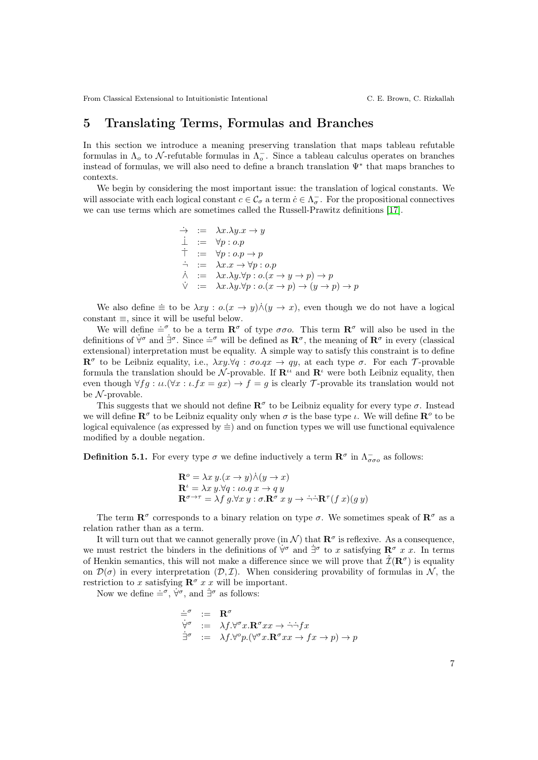## <span id="page-6-0"></span>5 Translating Terms, Formulas and Branches

In this section we introduce a meaning preserving translation that maps tableau refutable formulas in  $\Lambda_o$  to N-refutable formulas in  $\Lambda_o^-$ . Since a tableau calculus operates on branches instead of formulas, we will also need to define a branch translation Ψ<sup>∗</sup> that maps branches to contexts.

We begin by considering the most important issue: the translation of logical constants. We will associate with each logical constant  $c \in \mathcal{C}_\sigma$  a term  $\dot{c} \in \Lambda_\sigma^-$ . For the propositional connectives we can use terms which are sometimes called the Russell-Prawitz definitions [\[17\]](#page-15-19).

$$
\begin{array}{rcl}\n\rightarrow & := & \lambda x.\lambda y.x \rightarrow y \\
\bot & := & \forall p : o.p \\
\top & := & \forall p : o.p \rightarrow p \\
\Rightarrow & := & \lambda x.x \rightarrow \forall p : o.p \\
\lambda & := & \lambda x.\lambda y.\forall p : o.(x \rightarrow y \rightarrow p) \rightarrow p \\
\forall & := & \lambda x.\lambda y.\forall p : o.(x \rightarrow p) \rightarrow (y \rightarrow p) \rightarrow p\n\end{array}
$$

We also define  $\dot{=}$  to be  $\lambda xy : o.(x \to y) \dot{\wedge} (y \to x)$ , even though we do not have a logical constant  $\equiv$ , since it will be useful below.

We will define  $\dot{=}^{\sigma}$  to be a term  $\mathbf{R}^{\sigma}$  of type  $\sigma\sigma o$ . This term  $\mathbf{R}^{\sigma}$  will also be used in the definitions of  $\forall^{\sigma}$  and  $\exists^{\sigma}$ . Since  $=^{\sigma}$  will be defined as  $\mathbf{R}^{\sigma}$ , the meaning of  $\mathbf{R}^{\sigma}$  in every (classical extensional) interpretation must be equality. A simple way to satisfy this constraint is to define  $\mathbf{R}^{\sigma}$  to be Leibniz equality, i.e.,  $\lambda xy.\forall q : \sigma o.qx \to qy$ , at each type  $\sigma$ . For each T-provable formula the translation should be  $\mathcal{N}$ -provable. If  $\mathbb{R}^n$  and  $\mathbb{R}^n$  were both Leibniz equality, then even though  $\forall fg : \iota \iota. (\forall x : \iota.fx = gx) \rightarrow f = g$  is clearly T-provable its translation would not be  $\mathcal{N}$ -provable.

This suggests that we should not define  $\mathbb{R}^{\sigma}$  to be Leibniz equality for every type  $\sigma$ . Instead we will define  $\mathbf{R}^{\sigma}$  to be Leibniz equality only when  $\sigma$  is the base type  $\iota$ . We will define  $\mathbf{R}^{\sigma}$  to be logical equivalence (as expressed by  $\equiv$ ) and on function types we will use functional equivalence modified by a double negation.

**Definition 5.1.** For every type  $\sigma$  we define inductively a term  $\mathbb{R}^{\sigma}$  in  $\Lambda_{\sigma\sigma\rho}^{-}$  as follows:

$$
\mathbf{R}^o = \lambda x y.(x \to y) \dot{\wedge} (y \to x)
$$
  
\n
$$
\mathbf{R}^i = \lambda x y. \forall q : \iota o. q x \to q y
$$
  
\n
$$
\mathbf{R}^{\sigma \to \tau} = \lambda f g. \forall x y : \sigma. \mathbf{R}^\sigma x y \to \neg \neg \mathbf{R}^\tau (f x) (g y)
$$

The term  $\mathbb{R}^{\sigma}$  corresponds to a binary relation on type  $\sigma$ . We sometimes speak of  $\mathbb{R}^{\sigma}$  as a relation rather than as a term.

It will turn out that we cannot generally prove (in  $\mathcal{N}$ ) that  $\mathbf{R}^{\sigma}$  is reflexive. As a consequence, we must restrict the binders in the definitions of  $\forall^{\sigma}$  and  $\exists^{\sigma}$  to x satisfying  $\mathbb{R}^{\sigma}$  x x. In terms of Henkin semantics, this will not make a difference since we will prove that  $\hat{\mathcal{I}}(\mathbf{R}^{\sigma})$  is equality on  $\mathcal{D}(\sigma)$  in every interpretation  $(\mathcal{D}, \mathcal{I})$ . When considering provability of formulas in N, the restriction to x satisfying  $\mathbb{R}^{\sigma}$  x x will be important.

Now we define  $\dot{=}^{\sigma}, \dot{\forall}^{\sigma},$  and  $\dot{=}^{\sigma}$  as follows:

$$
\begin{array}{rcl}\n\dot{=}^{\sigma} & := & \mathbf{R}^{\sigma} \\
\dot{\forall}^{\sigma} & := & \lambda f. \forall^{\sigma} x. \mathbf{R}^{\sigma} x x \to \dot{\neg} \dot{\neg} f x \\
\dot{\exists}^{\sigma} & := & \lambda f. \forall^{\sigma} p. (\forall^{\sigma} x. \mathbf{R}^{\sigma} x x \to f x \to p) \to p\n\end{array}
$$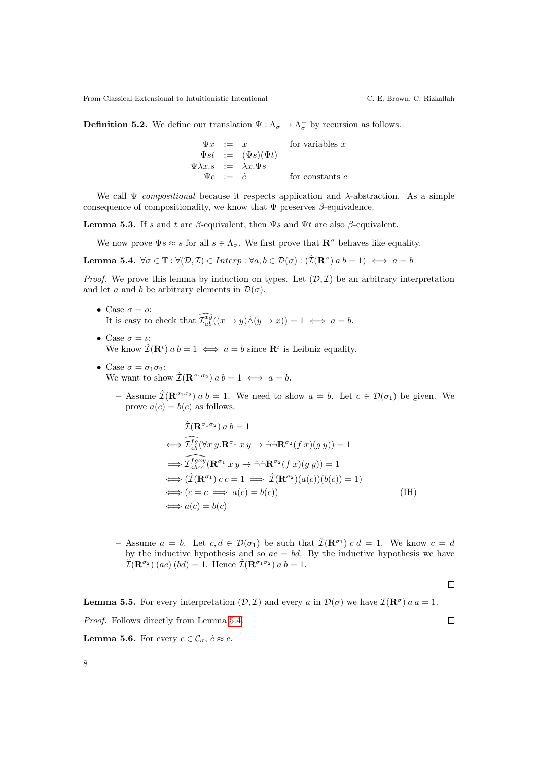**Definition 5.2.** We define our translation  $\Psi : \Lambda_{\sigma} \to \Lambda_{\sigma}^{-}$  by recursion as follows.

 $\Psi x = x$  for variables x  $\Psi st = (\Psi s)(\Psi t)$  $\Psi \lambda x.s := \lambda x.\Psi s$ <br> $\Psi c := \dot{c}$ for constants  $c$ 

We call  $\Psi$  compositional because it respects application and  $\lambda$ -abstraction. As a simple consequence of compositionality, we know that  $\Psi$  preserves  $\beta$ -equivalence.

<span id="page-7-2"></span>**Lemma 5.3.** If s and t are  $\beta$ -equivalent, then  $\Psi s$  and  $\Psi t$  are also  $\beta$ -equivalent.

We now prove  $\Psi s \approx s$  for all  $s \in \Lambda_{\sigma}$ . We first prove that  $\mathbb{R}^{\sigma}$  behaves like equality.

<span id="page-7-0"></span>**Lemma 5.4.**  $\forall \sigma \in \mathbb{T} : \forall (\mathcal{D}, \mathcal{I}) \in \text{Interp} : \forall a, b \in \mathcal{D}(\sigma) : (\mathcal{\hat{I}}(\mathbf{R}^{\sigma}) \land b = 1) \iff a = b$ 

*Proof.* We prove this lemma by induction on types. Let  $(\mathcal{D}, \mathcal{I})$  be an arbitrary interpretation and let a and b be arbitrary elements in  $\mathcal{D}(\sigma)$ .

- Case  $\sigma = o$ : It is easy to check that  $\widehat{\mathcal{I}}_{ab}^{xy}((x \to y) \dot{\wedge} (y \to x)) = 1 \iff a = b.$
- Case  $\sigma = \iota$ : We know  $\hat{\mathcal{I}}(\mathbf{R}^t)$   $a b = 1 \iff a = b$  since  $\mathbf{R}^t$  is Leibniz equality.
- Case  $\sigma = \sigma_1 \sigma_2$ : We want to show  $\hat{\mathcal{I}}(\mathbf{R}^{\sigma_1\sigma_2})$   $a b = 1 \iff a = b$ .
	- Assume  $\hat{\mathcal{I}}(\mathbf{R}^{\sigma_1\sigma_2})$  a  $b=1$ . We need to show  $a=b$ . Let  $c \in \mathcal{D}(\sigma_1)$  be given. We prove  $a(c) = b(c)$  as follows.

$$
\hat{\mathcal{I}}(\mathbf{R}^{\sigma_1 \sigma_2}) a b = 1
$$
\n
$$
\iff \hat{\mathcal{I}}_{ab}^{fg} (\forall x y. \mathbf{R}^{\sigma_1} x y \to \neg \hat{\mathbf{R}}^{\sigma_2} (f x)(g y)) = 1
$$
\n
$$
\iff \hat{\mathcal{I}}_{abcc}^{f g x y} (\mathbf{R}^{\sigma_1} x y \to \neg \hat{\mathbf{R}}^{\sigma_2} (f x)(g y)) = 1
$$
\n
$$
\iff (\hat{\mathcal{I}}(\mathbf{R}^{\sigma_1}) c c = 1 \implies \hat{\mathcal{I}}(\mathbf{R}^{\sigma_2}) (a(c))(b(c)) = 1)
$$
\n
$$
\iff (c = c \implies a(c) = b(c))
$$
\n(IH)

– Assume  $a = b$ . Let  $c, d \in \mathcal{D}(\sigma_1)$  be such that  $\hat{\mathcal{I}}(\mathbf{R}^{\sigma_1}) c d = 1$ . We know  $c = d$ by the inductive hypothesis and so  $ac = bd$ . By the inductive hypothesis we have  $\mathcal{I}(\mathbf{R}^{\sigma_2})$   $(ac)$   $(bd) = 1$ . Hence  $\mathcal{I}(\mathbf{R}^{\sigma_1 \sigma_2})$  a  $b = 1$ .

 $\Box$ 

 $\Box$ 

**Lemma 5.5.** For every interpretation  $(D, \mathcal{I})$  and every a in  $\mathcal{D}(\sigma)$  we have  $\mathcal{I}(\mathbf{R}^{\sigma})$  a a = 1. Proof. Follows directly from Lemma [5.4.](#page-7-0)

<span id="page-7-1"></span>**Lemma 5.6.** For every  $c \in \mathcal{C}_{\sigma}$ ,  $\dot{c} \approx c$ .

|   |    | ۰        |   |  |
|---|----|----------|---|--|
|   | ٦  |          |   |  |
|   | ×  | ۰,<br>۰. |   |  |
| I | I  |          | × |  |
|   | ۰, |          | × |  |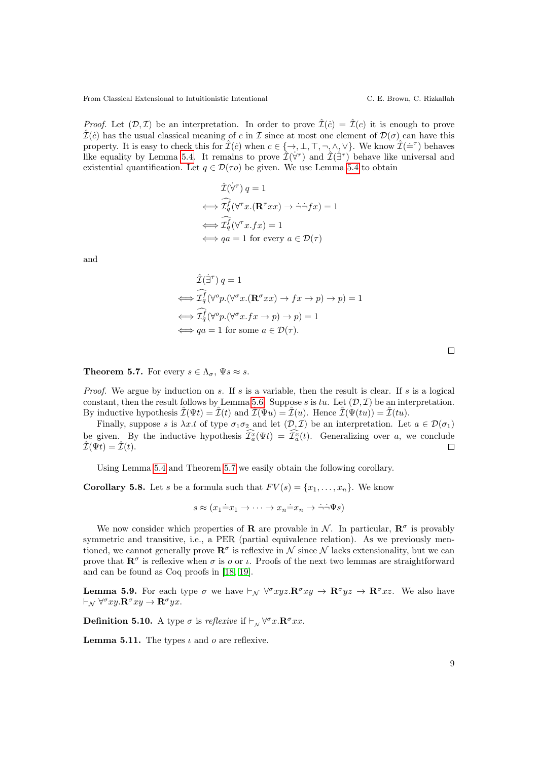*Proof.* Let  $(D, \mathcal{I})$  be an interpretation. In order to prove  $\hat{\mathcal{I}}(\dot{c}) = \hat{\mathcal{I}}(c)$  it is enough to prove  $\hat{\mathcal{I}}(c)$  has the usual classical meaning of c in  $\mathcal{I}$  since at most one element of  $\mathcal{D}(\sigma)$  can have this property. It is easy to check this for  $\mathcal{I}(c)$  when  $c \in \{\rightarrow, \bot, \top, \neg, \wedge, \vee\}$ . We know  $\mathcal{I}(\dot{=}^{\tau})$  behaves like equality by Lemma [5.4.](#page-7-0) It remains to prove  $\hat{\mathcal{I}}(\forall^{\tau})$  and  $\hat{\mathcal{I}}(\exists^{\tau})$  behave like universal and existential quantification. Let  $q \in \mathcal{D}(\tau)$  be given. We use Lemma [5.4](#page-7-0) to obtain

$$
\hat{\mathcal{I}}(\dot{\forall}^{\tau}) q = 1
$$
\n
$$
\iff \widehat{\mathcal{I}_q^f}(\forall^{\tau} x. (\mathbf{R}^{\tau} x x) \to \neg \dot{\neg} f x) = 1
$$
\n
$$
\iff \widehat{\mathcal{I}_q^f}(\forall^{\tau} x. f x) = 1
$$
\n
$$
\iff qa = 1 \text{ for every } a \in \mathcal{D}(\tau)
$$

and

$$
\hat{\mathcal{I}}(\dot{\exists}^{\tau}) q = 1
$$
\n
$$
\iff \hat{\mathcal{I}}_q^f(\forall^{\circ} p.(\forall^{\sigma} x. (\mathbf{R}^{\sigma} x x) \to fx \to p) \to p) = 1
$$
\n
$$
\iff \hat{\mathcal{I}}_q^f(\forall^{\circ} p.(\forall^{\sigma} x. fx \to p) \to p) = 1
$$
\n
$$
\iff qa = 1 \text{ for some } a \in \mathcal{D}(\tau).
$$

<span id="page-8-0"></span>**Theorem 5.7.** For every  $s \in \Lambda_{\sigma}$ ,  $\Psi s \approx s$ .

*Proof.* We argue by induction on s. If s is a variable, then the result is clear. If s is a logical constant, then the result follows by Lemma [5.6.](#page-7-1) Suppose s is tu. Let  $(\mathcal{D}, \mathcal{I})$  be an interpretation. By inductive hypothesis  $\mathcal{I}(\Psi t) = \mathcal{I}(t)$  and  $\mathcal{I}(\Psi u) = \mathcal{I}(u)$ . Hence  $\mathcal{I}(\Psi(tu)) = \mathcal{I}(tu)$ .

Finally, suppose s is  $\lambda x.t$  of type  $\sigma_1 \sigma_2$  and let  $(D, \mathcal{I})$  be an interpretation. Let  $a \in \mathcal{D}(\sigma_1)$ be given. By the inductive hypothesis  $\overline{\mathcal{I}}_a^x(\Psi t) = \overline{\mathcal{I}}_a^x(t)$ . Generalizing over a, we conclude  $\hat{\mathcal{I}}(\Psi t) = \hat{\mathcal{I}}(t).$  $\Box$ 

Using Lemma [5.4](#page-7-0) and Theorem [5.7](#page-8-0) we easily obtain the following corollary.

<span id="page-8-1"></span>**Corollary 5.8.** Let s be a formula such that  $FV(s) = \{x_1, \ldots, x_n\}$ . We know

$$
s \approx (x_1 \dot{=} x_1 \to \cdots \to x_n \dot{=} x_n \to \dot{\neg} \dot{\neg} \Psi s)
$$

We now consider which properties of **R** are provable in N. In particular,  $\mathbb{R}^{\sigma}$  is provably symmetric and transitive, i.e., a PER (partial equivalence relation). As we previously mentioned, we cannot generally prove  $\mathbf{R}^{\sigma}$  is reflexive in  $\mathcal{N}$  since  $\mathcal{N}$  lacks extensionality, but we can prove that  $\mathbf{R}^{\sigma}$  is reflexive when  $\sigma$  is  $\rho$  or  $\iota$ . Proofs of the next two lemmas are straightforward and can be found as Coq proofs in [\[18,](#page-15-13) [19\]](#page-15-14).

**Lemma 5.9.** For each type  $\sigma$  we have  $\vdash_{\mathcal{N}} \forall^{\sigma} xyz \mathbf{R}^{\sigma} xy \rightarrow \mathbf{R}^{\sigma} yz \rightarrow \mathbf{R}^{\sigma} xz$ . We also have  $\vdash_{\mathcal{N}} \forall^{\sigma} xy. \mathbf{R}^{\sigma} xy \rightarrow \mathbf{R}^{\sigma} yx.$ 

**Definition 5.10.** A type  $\sigma$  is reflexive if  $\vdash_{\mathcal{N}} \forall^{\sigma} x . \mathbf{R}^{\sigma} x x$ .

**Lemma 5.11.** The types  $\iota$  and  $o$  are reflexive.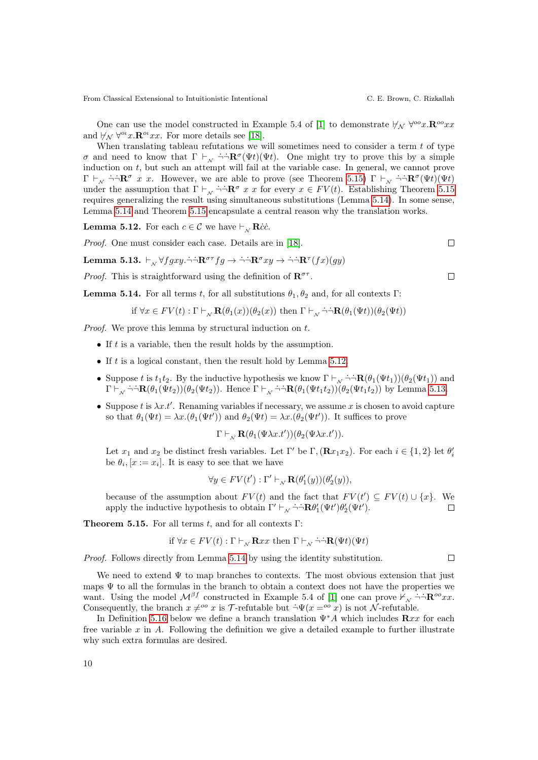One can use the model constructed in Example 5.4 of [\[1\]](#page-15-7) to demonstrate  $\forall_N \ \forall^{oo} x . \mathbf{R}^{oo} x x$ and  $\forall \mathcal{N} \ \forall^{\omega} x . \mathbf{R}^{\omega} xx$ . For more details see [\[18\]](#page-15-13).

When translating tableau refutations we will sometimes need to consider a term  $t$  of type σ and need to know that  $\Gamma \vdash_{\mathcal{N}} \neg \neg \mathbf{R}^{\sigma}(\Psi t)(\Psi t)$ . One might try to prove this by a simple induction on t, but such an attempt will fail at the variable case. In general, we cannot prove  $\Gamma \vdash_{\scriptscriptstyle \mathcal{N}} \neg \neg \mathbf{R}^{\sigma}$  x x. However, we are able to prove (see Theorem [5.15\)](#page-9-0)  $\Gamma \vdash_{\scriptscriptstyle \mathcal{N}} \neg \neg \mathbf{R}^{\sigma}(\Psi t)(\Psi t)$ under the assumption that  $\Gamma \vdash_{N} \neg \neg \mathbf{R}^{\sigma}$  x x for every  $x \in FV(t)$ . Establishing Theorem [5.15](#page-9-0) requires generalizing the result using simultaneous substitutions (Lemma [5.14\)](#page-9-1). In some sense, Lemma [5.14](#page-9-1) and Theorem [5.15](#page-9-0) encapsulate a central reason why the translation works.

<span id="page-9-2"></span>**Lemma 5.12.** For each  $c \in \mathcal{C}$  we have  $\vdash_{\mathcal{N}} \mathbf{R}c\dot{c}$ .

Proof. One must consider each case. Details are in [\[18\]](#page-15-13).

<span id="page-9-3"></span>**Lemma 5.13.** 
$$
\vdash_{\mathcal{N}} \forall f gxy \rightarrow \neg R^{\sigma \tau} f g \rightarrow \neg \neg R^{\sigma} xy \rightarrow \neg \neg R^{\tau} (fx)(gy)
$$

*Proof.* This is straightforward using the definition of  $\mathbb{R}^{\sigma\tau}$ .

<span id="page-9-1"></span>**Lemma 5.14.** For all terms t, for all substitutions  $\theta_1, \theta_2$  and, for all contexts Γ:

if 
$$
\forall x \in FV(t) : \Gamma \vdash_{\mathcal{N}} \mathbf{R}(\theta_1(x))(\theta_2(x))
$$
 then  $\Gamma \vdash_{\mathcal{N}} \neg \neg \mathbf{R}(\theta_1(\Psi t))(\theta_2(\Psi t))$ 

Proof. We prove this lemma by structural induction on t.

- If  $t$  is a variable, then the result holds by the assumption.
- If t is a logical constant, then the result hold by Lemma [5.12.](#page-9-2)
- Suppose t is  $t_1t_2$ . By the inductive hypothesis we know  $\Gamma \vdash_{N} \neg \neg \mathbf{R}(\theta_1(\Psi t_1))(\theta_2(\Psi t_1))$  and  $\Gamma \vdash_{N} \neg \neg \mathbf{R}(\theta_1(\Psi t_2))(\theta_2(\Psi t_2)).$  Hence  $\Gamma \vdash_{N} \neg \neg \mathbf{R}(\theta_1(\Psi t_1 t_2))(\theta_2(\Psi t_1 t_2))$  by Lemma [5.13.](#page-9-3)
- Suppose t is  $\lambda x.t'$ . Renaming variables if necessary, we assume x is chosen to avoid capture so that  $\theta_1(\Psi t) = \lambda x.(\theta_1(\Psi t'))$  and  $\theta_2(\Psi t) = \lambda x.(\theta_2(\Psi t'))$ . It suffices to prove

 $\Gamma \vdash_{\mathcal{N}} \mathbf{R}(\theta_1(\Psi \lambda x.t'))(\theta_2(\Psi \lambda x.t')).$ 

Let  $x_1$  and  $x_2$  be distinct fresh variables. Let  $\Gamma'$  be  $\Gamma$ ,  $(\mathbf{R}x_1x_2)$ . For each  $i \in \{1,2\}$  let  $\theta'_i$ be  $\theta_i$ ,  $[x := x_i]$ . It is easy to see that we have

$$
\forall y \in FV(t'): \Gamma' \vdash_{\mathcal{N}} \mathbf{R}(\theta'_1(y))(\theta'_2(y)),
$$

because of the assumption about  $F V(t)$  and the fact that  $F V(t') \subseteq F V(t) \cup \{x\}$ . We apply the inductive hypothesis to obtain  $\Gamma' \vdash_{\mathcal{N}} \neg \neg \mathbf{R}\theta'_{1}(\Psi t')\theta'_{2}(\Psi t')$ .  $\Box$ 

<span id="page-9-0"></span>**Theorem 5.15.** For all terms t, and for all contexts Γ:

if 
$$
\forall x \in FV(t) : \Gamma \vdash_{\mathcal{N}} \mathbf{R} x x
$$
 then  $\Gamma \vdash_{\mathcal{N}} \neg \neg \mathbf{R}(\Psi t)(\Psi t)$ 

Proof. Follows directly from Lemma [5.14](#page-9-1) by using the identity substitution.

We need to extend  $\Psi$  to map branches to contexts. The most obvious extension that just maps  $\Psi$  to all the formulas in the branch to obtain a context does not have the properties we want. Using the model  $\mathcal{M}^{\beta}$  constructed in Example 5.4 of [\[1\]](#page-15-7) one can prove  $\forall_{N} \neg \neg \mathbf{R}^{oo} xx$ . Consequently, the branch  $x \neq^{oo} x$  is  $\mathcal{T}$ -refutable but  $\neg \Psi(x = ^{oo} x)$  is not N-refutable.

In Definition [5.16](#page-10-1) below we define a branch translation  $\Psi^*A$  which includes Rxx for each free variable  $x$  in  $A$ . Following the definition we give a detailed example to further illustrate why such extra formulas are desired.

 $\Box$ 

 $\Box$ 

 $\Box$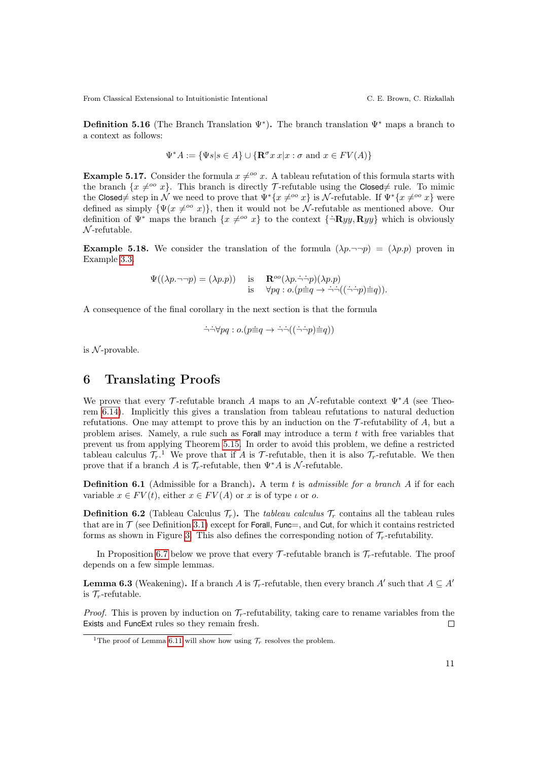<span id="page-10-1"></span>**Definition 5.16** (The Branch Translation  $\Psi^*$ ). The branch translation  $\Psi^*$  maps a branch to a context as follows:

$$
\Psi^* A := \{ \Psi s | s \in A \} \cup \{ \mathbf{R}^\sigma x \, x | x : \sigma \text{ and } x \in FV(A) \}
$$

**Example 5.17.** Consider the formula  $x \neq^{oo} x$ . A tableau refutation of this formula starts with the branch  $\{x \neq 0$   $x\}$ . This branch is directly T-refutable using the Closed  $\neq$  rule. To mimic the Closed≠ step in N we need to prove that  $\Psi^*\{x \neq^{oo} x\}$  is N-refutable. If  $\Psi^*\{x \neq^{oo} x\}$  were defined as simply  $\{\Psi(x \neq^{oo} x)\}\$ , then it would not be N-refutable as mentioned above. Our definition of  $\Psi^*$  maps the branch  $\{x \neq^{oo} x\}$  to the context  $\{\neg \mathbf{R} yy, \mathbf{R} yy\}$  which is obviously  $\mathcal{N}$ -refutable.

**Example 5.18.** We consider the translation of the formula  $(\lambda p \rightarrow \neg p) = (\lambda p.p)$  proven in Example [3.3.](#page-5-2)

$$
\Psi((\lambda p.\neg\neg p) = (\lambda p.p)) \quad \text{is} \quad \mathbf{R}^{oo}(\lambda p.\neg\neg p)(\lambda p.p) \n\text{is} \quad \forall pq : o.(p \equiv q \rightarrow \neg\neg((\neg\neg p) \equiv q)).
$$

A consequence of the final corollary in the next section is that the formula

$$
\neg\neg\forall pq: o.(p \equiv q \rightarrow \neg\neg((\neg\neg p) \equiv q))
$$

is  $N$ -provable.

## <span id="page-10-0"></span>6 Translating Proofs

We prove that every T-refutable branch A maps to an N-refutable context  $\Psi^*A$  (see Theorem [6.14\)](#page-14-1). Implicitly this gives a translation from tableau refutations to natural deduction refutations. One may attempt to prove this by an induction on the  $\mathcal T$ -refutability of A, but a problem arises. Namely, a rule such as Forall may introduce a term  $t$  with free variables that prevent us from applying Theorem [5.15.](#page-9-0) In order to avoid this problem, we define a restricted tableau calculus  $\mathcal{T}_r$ . We prove that if A is  $\mathcal{T}_r$ -refutable, then it is also  $\mathcal{T}_r$ -refutable. We then prove that if a branch A is  $\mathcal{T}_r$ -refutable, then  $\Psi^* A$  is N-refutable.

**Definition 6.1** (Admissible for a Branch). A term  $t$  is *admissible for a branch A* if for each variable  $x \in FV(t)$ , either  $x \in FV(A)$  or x is of type  $\iota$  or  $o$ .

**Definition 6.2** (Tableau Calculus  $\mathcal{T}_r$ ). The *tableau calculus*  $\mathcal{T}_r$  contains all the tableau rules that are in  $\mathcal T$  (see Definition [3.1\)](#page-4-1) except for Forall, Func=, and Cut, for which it contains restricted forms as shown in Figure [3.](#page-11-0) This also defines the corresponding notion of  $\mathcal{T}_r$ -refutability.

In Proposition [6.7](#page-11-1) below we prove that every  $\mathcal{T}_{\text{refutable}}$  branch is  $\mathcal{T}_{r}$ -refutable. The proof depends on a few simple lemmas.

<span id="page-10-2"></span>**Lemma 6.3** (Weakening). If a branch A is  $\mathcal{T}_r$ -refutable, then every branch A' such that  $A \subseteq A'$ is  $\mathcal{T}_r$ -refutable.

*Proof.* This is proven by induction on  $\mathcal{T}_{r}$ -refutability, taking care to rename variables from the Exists and FuncExt rules so they remain fresh.  $\Box$ 

<sup>&</sup>lt;sup>1</sup>The proof of Lemma [6.11](#page-12-0) will show how using  $\mathcal{T}_r$  resolves the problem.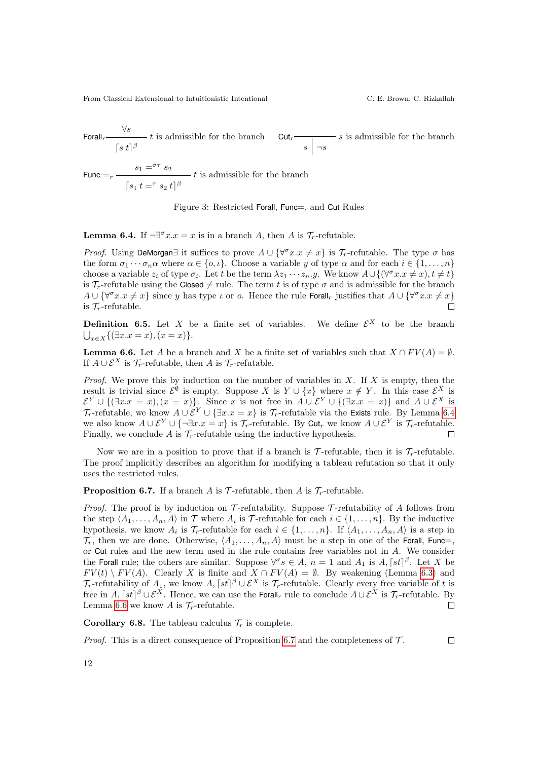$$
\text{For all } r \xrightarrow{\forall s} t \text{ is admissible for the branch}
$$
\n
$$
\text{Cut}_r \xrightarrow{s} s \text{ is admissible for the branch}
$$

Func  $=_r$  $s_1 = \sigma \tau$   $s_2$  $\lceil s_1 t = s_2 t \rceil^{\beta}$ t is admissible for the branch

<span id="page-11-0"></span>Figure 3: Restricted Forall, Func=, and Cut Rules

<span id="page-11-2"></span>**Lemma 6.4.** If  $\neg \exists^{\sigma} x . x = x$  is in a branch A, then A is  $\mathcal{T}_r$ -refutable.

*Proof.* Using DeMorgan∃ it suffices to prove  $A \cup {\forall \forall x . x \neq x}$  is  $\mathcal{T}_r$ -refutable. The type  $\sigma$  has the form  $\sigma_1 \cdots \sigma_n \alpha$  where  $\alpha \in \{0, \iota\}$ . Choose a variable y of type  $\alpha$  and for each  $i \in \{1, \dots, n\}$ choose a variable  $z_i$  of type  $\sigma_i$ . Let t be the term  $\lambda z_1 \cdots z_n y$ . We know  $A \cup \{(\forall^{\sigma} x . x \neq x), t \neq t\}$ is  $\mathcal{T}_r$ -refutable using the Closed  $\neq$  rule. The term t is of type  $\sigma$  and is admissible for the branch  $A \cup {\forall \sigma x.x \neq x}$  since y has type *ι* or *o*. Hence the rule Forall<sub>r</sub> justifies that  $A \cup {\forall \sigma x.x \neq x}$ is  $\mathcal{T}_r$ -refutable.  $\Box$ 

**Definition 6.5.** Let X be a finite set of variables. We define  $\mathcal{E}^X$  to be the branch  $\bigcup_{x \in X} \{ (\exists x . x = x), (x = x) \}.$ 

<span id="page-11-3"></span>**Lemma 6.6.** Let A be a branch and X be a finite set of variables such that  $X \cap FV(A) = \emptyset$ . If  $A \cup \mathcal{E}^X$  is  $\mathcal{T}_r$ -refutable, then A is  $\mathcal{T}_r$ -refutable.

*Proof.* We prove this by induction on the number of variables in  $X$ . If  $X$  is empty, then the result is trivial since  $\mathcal{E}^{\emptyset}$  is empty. Suppose X is  $Y \cup \{x\}$  where  $x \notin Y$ . In this case  $\mathcal{E}^X$  is  $\mathcal{E}^Y \cup \{(\exists x \cdot x = x), (x = x)\}.$  Since x is not free in  $A \cup \mathcal{E}^Y \cup \{(\exists x \cdot x = x)\}\$  and  $A \cup \mathcal{E}^X$  is  $\mathcal{T}_r$ -refutable, we know  $A\cup \mathcal{E}^Y\cup \{\exists x.x=x\}$  is  $\mathcal{T}_r$ -refutable via the Exists rule. By Lemma [6.4](#page-11-2) we also know  $A\cup \mathcal{E}^Y\cup \{\neg \exists x.x=x\}$  is  $\mathcal{T}_r$ -refutable. By Cut<sub>r</sub> we know  $A\cup \mathcal{E}^Y$  is  $\mathcal{T}_r$ -refutable. Finally, we conclude A is  $\mathcal{T}_r$ -refutable using the inductive hypothesis.

Now we are in a position to prove that if a branch is  $\mathcal{T}_r$ -refutable, then it is  $\mathcal{T}_r$ -refutable. The proof implicitly describes an algorithm for modifying a tableau refutation so that it only uses the restricted rules.

<span id="page-11-1"></span>**Proposition 6.7.** If a branch A is  $\mathcal{T}$ -refutable, then A is  $\mathcal{T}_r$ -refutable.

*Proof.* The proof is by induction on  $\mathcal{T}$ -refutability. Suppose  $\mathcal{T}$ -refutability of A follows from the step  $\langle A_1, \ldots, A_n, A \rangle$  in  $\mathcal T$  where  $A_i$  is  $\mathcal T$ -refutable for each  $i \in \{1, \ldots, n\}$ . By the inductive hypothesis, we know  $A_i$  is  $\mathcal{T}_r$ -refutable for each  $i \in \{1, \ldots, n\}$ . If  $\langle A_1, \ldots, A_n, A \rangle$  is a step in  $\mathcal{T}_r$ , then we are done. Otherwise,  $\langle A_1, \ldots, A_n, A \rangle$  must be a step in one of the Forall, Func=, or Cut rules and the new term used in the rule contains free variables not in A. We consider the Forall rule; the others are similar. Suppose  $\forall^{\sigma} s \in A$ ,  $n = 1$  and  $A_1$  is  $A, [st]^{\beta}$ . Let X be  $FV(t) \setminus FV(A)$ . Clearly X is finite and  $X \cap FV(A) = \emptyset$ . By weakening (Lemma [6.3\)](#page-10-2) and  $\mathcal{T}_r$ -refutability of  $A_1$ , we know  $A, \lceil st \rceil^{\beta} \cup \mathcal{E}^X$  is  $\mathcal{T}_r$ -refutable. Clearly every free variable of t is free in  $A, \lceil st \rceil^{\beta} \cup \mathcal{E}^{X}$ . Hence, we can use the Forall<sub>r</sub> rule to conclude  $A \cup \mathcal{E}^{X}$  is  $\mathcal{T}_{r}$ -refutable. By Lemma [6.6](#page-11-3) we know A is  $\mathcal{T}_r$ -refutable.  $\Box$ 

**Corollary 6.8.** The tableau calculus  $\mathcal{T}_r$  is complete.

*Proof.* This is a direct consequence of Proposition [6.7](#page-11-1) and the completeness of  $\mathcal{T}$ .  $\Box$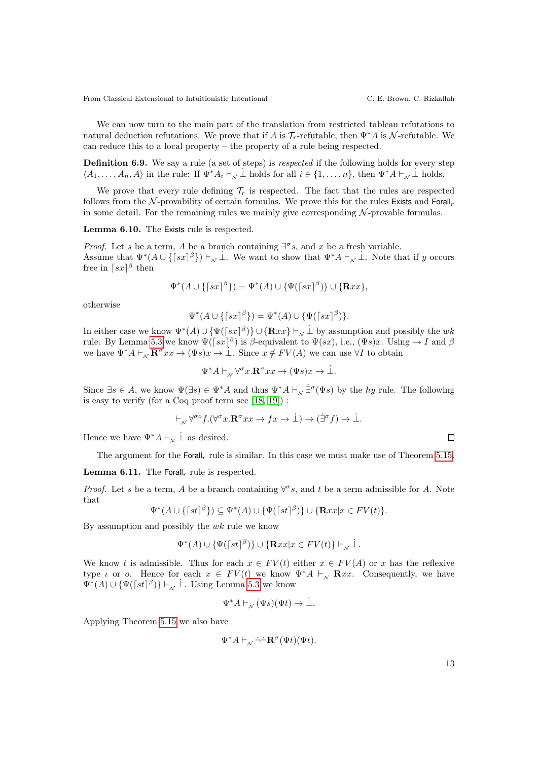We can now turn to the main part of the translation from restricted tableau refutations to natural deduction refutations. We prove that if A is  $\mathcal{T}_r$ -refutable, then  $\Psi^* A$  is N-refutable. We can reduce this to a local property – the property of a rule being respected.

Definition 6.9. We say a rule (a set of steps) is *respected* if the following holds for every step  $\langle A_1, \ldots, A_n, A \rangle$  in the rule: If  $\Psi^* A_i \vdash_{\mathcal{N}} \bot$  holds for all  $i \in \{1, \ldots, n\}$ , then  $\Psi^* A \vdash_{\mathcal{N}} \bot$  holds.

We prove that every rule defining  $\mathcal{T}_r$  is respected. The fact that the rules are respected follows from the  $N$ -provability of certain formulas. We prove this for the rules Exists and Forall, in some detail. For the remaining rules we mainly give corresponding  $N$ -provable formulas.

<span id="page-12-1"></span>Lemma 6.10. The Exists rule is respected.

*Proof.* Let s be a term, A be a branch containing  $\exists^{\sigma} s$ , and x be a fresh variable. Assume that  $\Psi^*(A \cup \{\lceil sx \rceil^\beta\}) \vdash_{\mathcal{N}} \dot{\bot}$ . We want to show that  $\Psi^*A \vdash_{\mathcal{N}} \dot{\bot}$ . Note that if y occurs free in  $\lceil sx \rceil^{\beta}$  then

$$
\Psi^*(A \cup \{\lceil sx \rceil^\beta\}) = \Psi^*(A) \cup \{\Psi(\lceil sx \rceil^\beta)\} \cup \{\mathbf{R} xx\},\
$$

otherwise

$$
\Psi^*(A \cup \{\lceil sx \rceil^\beta\}) = \Psi^*(A) \cup \{\Psi(\lceil sx \rceil^\beta)\}.
$$

In either case we know  $\Psi^*(A) \cup {\Psi([sx]^{\beta})} \cup {\mathbf{R}}xx$   $\vdash_{\mathcal{N}} \dot{\bot}$  by assumption and possibly the wk rule. By Lemma [5.3](#page-7-2) we know  $\Psi(\lceil sx \rceil^\beta)$  is  $\beta$ -equivalent to  $\Psi(sx)$ , i.e.,  $(\Psi s)x$ . Using  $\rightarrow I$  and  $\beta$ we have  $\Psi^* A \vdash_{\mathcal{N}} \mathbf{R}^\sigma xx \to (\Psi s)x \to \bot$ . Since  $x \notin FV(A)$  we can use  $\forall I$  to obtain

$$
\Psi^* A \vdash_{\mathcal{N}} \forall^{\sigma} x. \mathbf{R}^{\sigma} x x \to (\Psi s) x \to \dot{\bot}.
$$

Since  $\exists s \in A$ , we know  $\Psi(\exists s) \in \Psi^* A$  and thus  $\Psi^* A \vdash_{\mathcal{N}} \dot{\exists}^\sigma (\Psi s)$  by the hy rule. The following is easy to verify (for a Coq proof term see [\[18,](#page-15-13) [19\]](#page-15-14)) :

$$
\vdash_{\mathcal{N}} \forall^{\sigma o} f. (\forall^{\sigma} x. \mathbf{R}^{\sigma} x x \to fx \to \dot{\bot}) \to (\dot{\exists}^{\sigma} f) \to \dot{\bot}.
$$

Hence we have  $\Psi^* A \vdash_{\mathcal{N}} \dot{\perp}$  as desired.

The argument for the Forall<sub>r</sub> rule is similar. In this case we must make use of Theorem [5.15.](#page-9-0)

<span id="page-12-0"></span>**Lemma 6.11.** The Forall<sub>r</sub> rule is respected.

*Proof.* Let s be a term, A be a branch containing  $\forall^{\sigma}s$ , and t be a term admissible for A. Note that

$$
\Psi^*(A \cup \{\lceil st \rceil^\beta\}) \subseteq \Psi^*(A) \cup \{\Psi(\lceil st \rceil^\beta)\} \cup \{\mathbf{R} xx \vert x \in FV(t)\}.
$$

By assumption and possibly the  $wk$  rule we know

$$
\Psi^*(A) \cup \{\Psi(\lceil st \rceil^\beta)\} \cup \{\mathbf{R} xx | x \in FV(t)\} \vdash_{\mathcal{N}} \dot{\bot}.
$$

We know t is admissible. Thus for each  $x \in FV(t)$  either  $x \in FV(A)$  or x has the reflexive type *ι* or *o*. Hence for each  $x \in F V(t)$  we know  $\Psi^* A \vdash_{N} \mathbf{R} xx$ . Consequently, we have  $\Psi^*(A) \cup {\Psi([st]^{\beta})} \vdash_{\mathcal{N}} \dot{\perp}$ . Using Lemma [5.3](#page-7-2) we know

$$
\Psi^* A \vdash_{\mathcal{N}} (\Psi s)(\Psi t) \to \dot{\bot}.
$$

Applying Theorem [5.15](#page-9-0) we also have

$$
\Psi^*A \vdash_{\mathcal{N}} \dot{\neg} \dot{\neg} \mathbf{R}^\sigma(\Psi t)(\Psi t).
$$

 $\Box$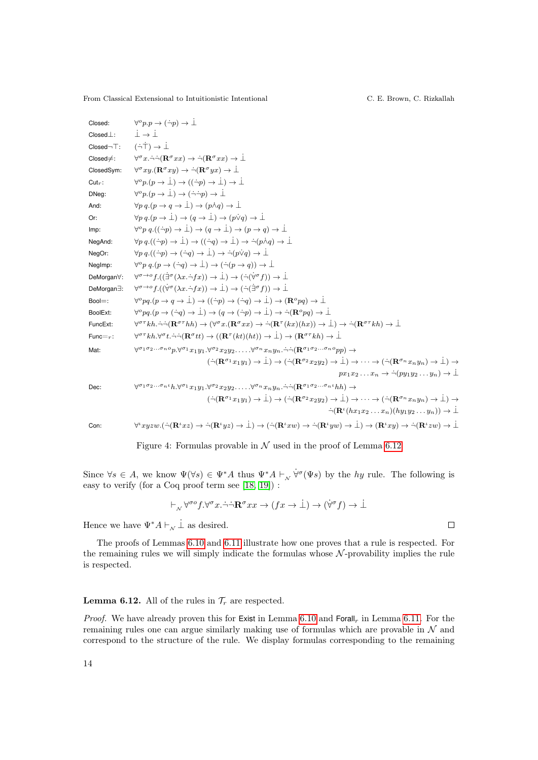| Closed:                                                           | $\forall^{\circ} p. p \rightarrow (\neg p) \rightarrow \bot$                                                                                                                                                                                                                                                   |
|-------------------------------------------------------------------|----------------------------------------------------------------------------------------------------------------------------------------------------------------------------------------------------------------------------------------------------------------------------------------------------------------|
| $Closed$ :                                                        | $i \rightarrow i$                                                                                                                                                                                                                                                                                              |
| Closed $\neg$ T: $(\dot{\neg} \dot{\top}) \rightarrow \dot{\bot}$ |                                                                                                                                                                                                                                                                                                                |
| $Closed \neq$ :                                                   | $\forall^{\sigma} x \rightarrow (\mathbf{R}^{\sigma} xx) \rightarrow \neg(\mathbf{R}^{\sigma} xx) \rightarrow \bot$                                                                                                                                                                                            |
| ClosedSym:                                                        | $\forall^{\sigma}xy.(\mathbf{R}^{\sigma}xy) \rightarrow \neg(\mathbf{R}^{\sigma}yx) \rightarrow \bot$                                                                                                                                                                                                          |
| $Cut_r$ :                                                         | $\forall^{\circ}p.(p \rightarrow \bot) \rightarrow ((\neg p) \rightarrow \bot) \rightarrow \bot$                                                                                                                                                                                                               |
| DNeg:                                                             | $\forall^{\circ}p.(p \rightarrow \perp) \rightarrow (\neg \neg p) \rightarrow \perp$                                                                                                                                                                                                                           |
| And:                                                              | $\forall n \, a. (n \rightarrow a \rightarrow 1) \rightarrow (n \land a) \rightarrow 1$                                                                                                                                                                                                                        |
| Or:                                                               | $\forall p \ q. (p \to \bot) \to (q \to \bot) \to (p \lor q) \to \bot$                                                                                                                                                                                                                                         |
| Imp:                                                              | $\forall^{\circ}p \ q.((\neg p) \rightarrow \bot) \rightarrow (q \rightarrow \bot) \rightarrow (p \rightarrow q) \rightarrow \bot$                                                                                                                                                                             |
| NegAnd:                                                           | $\forall p \, a \, ((\neg p) \rightarrow \bot) \rightarrow ((\neg q) \rightarrow \bot) \rightarrow \neg (p \land q) \rightarrow \bot$                                                                                                                                                                          |
| NegOr:                                                            | $\forall p \, q. ((\neg p) \rightarrow (\neg q) \rightarrow \bot) \rightarrow \neg (p \lor q) \rightarrow \bot$                                                                                                                                                                                                |
| NegImp:                                                           | $\forall^o p \ a. (p \to (\neg q) \to \bot) \to (\neg (p \to q)) \to \bot$                                                                                                                                                                                                                                     |
| DeMorgan∀:                                                        | $\forall^{\sigma\to\sigma} f((\exists^{\sigma}(\lambda x.\neg fx))\to\bot)\to(\neg(\forall^{\sigma} f))\to\bot$                                                                                                                                                                                                |
| DeMorgan∃:                                                        | $\forall^{\sigma\to\sigma} f((\forall^{\sigma}(\lambda x.\neg fx))\to\bot)\to(\neg(\exists^{\sigma} f))\to\bot)$                                                                                                                                                                                               |
| $Bool =:$                                                         | $\forall^o qa.(p \rightarrow q \rightarrow 1) \rightarrow ((\neg p) \rightarrow (\neg q) \rightarrow 1) \rightarrow (\mathbb{R}^o qa) \rightarrow 1$                                                                                                                                                           |
| BoolExt:                                                          | $\forall^o pa.(p \rightarrow (\neg q) \rightarrow \bot) \rightarrow (q \rightarrow (\neg p) \rightarrow \bot) \rightarrow \neg (\mathbf{R}^o pa) \rightarrow \bot$                                                                                                                                             |
| FuncExt:                                                          | $\forall^{\sigma\tau} kh. \neg\neg(\mathbf{R}^{\sigma\tau}hh) \rightarrow (\forall^{\sigma}x.(\mathbf{R}^{\sigma}xx) \rightarrow \neg(\mathbf{R}^{\tau}(kx)(hx)) \rightarrow \bot) \rightarrow \neg(\mathbf{R}^{\sigma\tau}kh) \rightarrow \bot$                                                               |
| $Func = r$ :                                                      | $\forall^{\sigma\tau} kh. \forall^{\sigma} t. \neg\neg(\mathbf{R}^{\sigma}tt) \rightarrow ((\mathbf{R}^{\tau}(kt)(ht)) \rightarrow \bot) \rightarrow (\mathbf{R}^{\sigma\tau}kh) \rightarrow \bot$                                                                                                             |
| Mat:                                                              | $\forall^{\sigma_1 \sigma_2 \ldots \sigma_n \sigma_p} \forall^{\sigma_1} x_1 y_1 \forall^{\sigma_2} x_2 y_2 \ldots \forall^{\sigma_n} x_n y_n \neg \neg (\mathbf{R}^{\sigma_1 \sigma_2 \ldots \sigma_n \sigma_p}) \rightarrow$                                                                                 |
|                                                                   | $(\neg (\mathbf{R}^{\sigma_1} x_1 y_1) \to \bot) \to (\neg (\mathbf{R}^{\sigma_2} x_2 y_2) \to \bot) \to \cdots \to (\neg (\mathbf{R}^{\sigma_n} x_n y_n) \to \bot) \to$                                                                                                                                       |
|                                                                   | $px_1x_2x_n \rightarrow \neg (py_1y_2y_n) \rightarrow \bot$                                                                                                                                                                                                                                                    |
| Dec:                                                              | $\forall^{\sigma_1 \sigma_2 \ldots \sigma_n \iota} h. \forall^{\sigma_1} x_1 y_1. \forall^{\sigma_2} x_2 y_2. \ldots. \forall^{\sigma_n} x_n y_n. \neg\neg(\mathbf{R}^{\sigma_1 \sigma_2 \ldots \sigma_n \iota} h h) \rightarrow$                                                                              |
|                                                                   | $(\neg (\mathbf{R}^{\sigma_1} x_1 y_1) \to \bot) \to (\neg (\mathbf{R}^{\sigma_2} x_2 y_2) \to \bot) \to \cdots \to (\neg (\mathbf{R}^{\sigma_n} x_n y_n) \to \bot) \to$                                                                                                                                       |
|                                                                   | $\dot{\neg}(\mathbf{R}^{\iota}(hx_1x_2\ldots x_n)(hy_1y_2\ldots y_n))\rightarrow\dot{\bot}$                                                                                                                                                                                                                    |
| Con:                                                              | $\forall^{\iota} xyzw. (\neg(\mathbf{R}^{\iota} xz) \rightarrow \neg(\mathbf{R}^{\iota} yz) \rightarrow \bot) \rightarrow (\neg(\mathbf{R}^{\iota} xw) \rightarrow \neg(\mathbf{R}^{\iota} yw) \rightarrow \bot) \rightarrow (\mathbf{R}^{\iota} xy) \rightarrow \neg(\mathbf{R}^{\iota} zw) \rightarrow \bot$ |
|                                                                   |                                                                                                                                                                                                                                                                                                                |

<span id="page-13-1"></span>Figure 4: Formulas provable in  $\mathcal N$  used in the proof of Lemma [6.12](#page-13-0)

Since  $\forall s \in A$ , we know  $\Psi(\forall s) \in \Psi^*A$  thus  $\Psi^*A \vdash_{\mathcal{N}} \forall^{\sigma}(\Psi s)$  by the hy rule. The following is easy to verify (for a Coq proof term see [\[18,](#page-15-13) [19\]](#page-15-14)) :

$$
\vdash_{\mathcal{N}} \forall^{\sigma o} f. \forall^{\sigma} x. \neg\neg \mathbf{R}^{\sigma} x x \rightarrow (fx \rightarrow \dot{\bot}) \rightarrow (\dot{\forall}^{\sigma} f) \rightarrow \dot{\bot}
$$

Hence we have  $\Psi^* A \vdash_{\mathcal{N}} \dot{\perp}$  as desired.

The proofs of Lemmas [6.10](#page-12-1) and [6.11](#page-12-0) illustrate how one proves that a rule is respected. For the remaining rules we will simply indicate the formulas whose  $\mathcal{N}$ -provability implies the rule is respected.

### <span id="page-13-0"></span>**Lemma 6.12.** All of the rules in  $\mathcal{T}_r$  are respected.

*Proof.* We have already proven this for Exist in Lemma [6.10](#page-12-1) and Forall<sub>r</sub> in Lemma [6.11.](#page-12-0) For the remaining rules one can argue similarly making use of formulas which are provable in  $N$  and correspond to the structure of the rule. We display formulas corresponding to the remaining

 $\Box$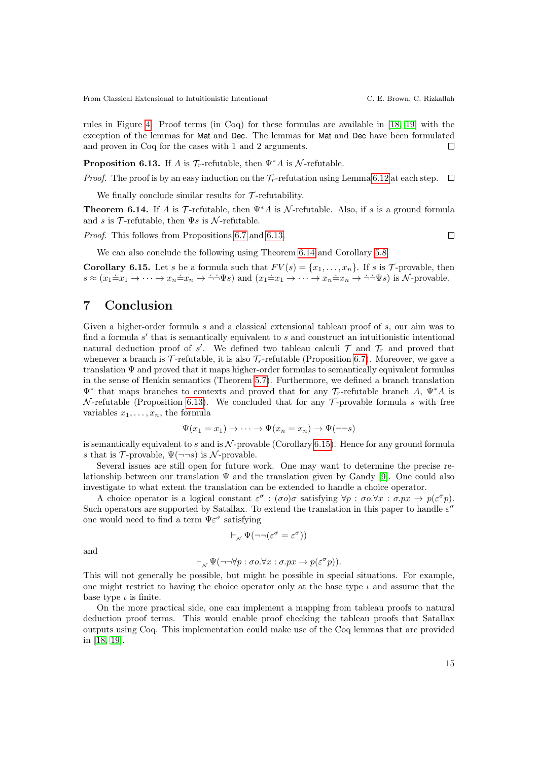rules in Figure [4.](#page-13-1) Proof terms (in Coq) for these formulas are available in [\[18,](#page-15-13) [19\]](#page-15-14) with the exception of the lemmas for Mat and Dec. The lemmas for Mat and Dec have been formulated and proven in Coq for the cases with 1 and 2 arguments.  $\Box$ 

<span id="page-14-2"></span>**Proposition 6.13.** If A is  $\mathcal{T}_r$ -refutable, then  $\Psi^* A$  is N-refutable.

*Proof.* The proof is by an easy induction on the  $\mathcal{T}_r$ -refutation using Lemma [6.12](#page-13-0) at each step.  $\Box$ 

We finally conclude similar results for  $\mathcal{T}\text{-refutability}$ .

<span id="page-14-1"></span>**Theorem 6.14.** If A is  $\mathcal{T}$ -refutable, then  $\Psi^* A$  is  $\mathcal{N}$ -refutable. Also, if s is a ground formula and s is  $\mathcal T$ -refutable, then  $\Psi s$  is  $\mathcal N$ -refutable.

Proof. This follows from Propositions [6.7](#page-11-1) and [6.13.](#page-14-2)

 $\Box$ 

We can also conclude the following using Theorem [6.14](#page-14-1) and Corollary [5.8.](#page-8-1)

<span id="page-14-3"></span>**Corollary 6.15.** Let s be a formula such that  $FV(s) = \{x_1, \ldots, x_n\}$ . If s is  $\mathcal{T}$ -provable, then  $s \approx (x_1 \doteq x_1 \rightarrow \cdots \rightarrow x_n \doteq x_n \rightarrow \neg \neg \Psi s)$  and  $(x_1 \doteq x_1 \rightarrow \cdots \rightarrow x_n \doteq x_n \rightarrow \neg \neg \Psi s)$  is N-provable.

## <span id="page-14-0"></span>7 Conclusion

Given a higher-order formula s and a classical extensional tableau proof of s, our aim was to find a formula  $s'$  that is semantically equivalent to  $s$  and construct an intuitionistic intentional natural deduction proof of s'. We defined two tableau calculi  $\mathcal T$  and  $\mathcal T_r$  and proved that whenever a branch is  $\mathcal{T}_{\text{r}}$ -refutable, it is also  $\mathcal{T}_{\text{r}}$ -refutable (Proposition [6.7\)](#page-11-1). Moreover, we gave a translation  $\Psi$  and proved that it maps higher-order formulas to semantically equivalent formulas in the sense of Henkin semantics (Theorem [5.7\)](#page-8-0). Furthermore, we defined a branch translation  $\Psi^*$  that maps branches to contexts and proved that for any  $\mathcal{T}_r$ -refutable branch A,  $\Psi^*A$  is  $\mathcal N$ -refutable (Proposition [6.13\)](#page-14-2). We concluded that for any  $\mathcal T$ -provable formula s with free variables  $x_1, \ldots, x_n$ , the formula

$$
\Psi(x_1 = x_1) \to \cdots \to \Psi(x_n = x_n) \to \Psi(\neg \neg s)
$$

is semantically equivalent to s and is  $\mathcal{N}$ -provable (Corollary [6.15\)](#page-14-3). Hence for any ground formula s that is  $\mathcal{T}\text{-provable}, \Psi(\neg\neg s)$  is  $\mathcal{N}\text{-provable}.$ 

Several issues are still open for future work. One may want to determine the precise relationship between our translation  $\Psi$  and the translation given by Gandy [\[9\]](#page-15-6). One could also investigate to what extent the translation can be extended to handle a choice operator.

A choice operator is a logical constant  $\varepsilon^{\sigma}$ :  $(\sigma o)\sigma$  satisfying  $\forall p : \sigma o.\forall x : \sigma.px \to p(\varepsilon^{\sigma} p)$ . Such operators are supported by Satallax. To extend the translation in this paper to handle  $\varepsilon^{\sigma}$ one would need to find a term  $\Psi \varepsilon^{\sigma}$  satisfying

$$
\vdash_{\mathcal{N}} \Psi(\neg \neg(\varepsilon^{\sigma}=\varepsilon^{\sigma}))
$$

and

$$
\vdash_{\mathcal{N}} \Psi(\neg\neg\forall p : \sigma o. \forall x : \sigma.px \to p(\varepsilon^{\sigma}p)).
$$

This will not generally be possible, but might be possible in special situations. For example, one might restrict to having the choice operator only at the base type  $\iota$  and assume that the base type  $\iota$  is finite.

On the more practical side, one can implement a mapping from tableau proofs to natural deduction proof terms. This would enable proof checking the tableau proofs that Satallax outputs using Coq. This implementation could make use of the Coq lemmas that are provided in [\[18,](#page-15-13) [19\]](#page-15-14).